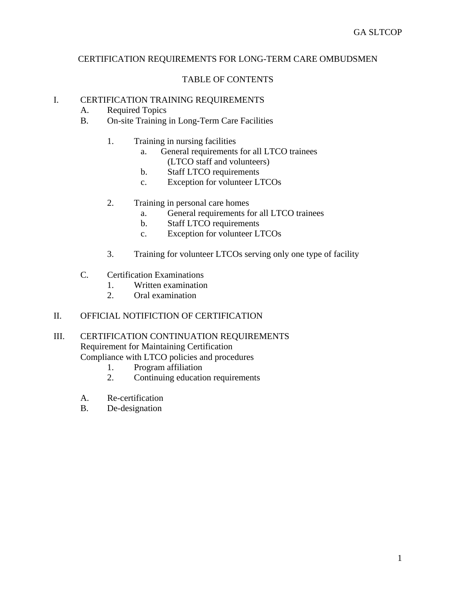## CERTIFICATION REQUIREMENTS FOR LONG-TERM CARE OMBUDSMEN

# TABLE OF CONTENTS

#### I. CERTIFICATION TRAINING REQUIREMENTS

- A. Required Topics
- B. On-site Training in Long-Term Care Facilities
	- 1. Training in nursing facilities
		- a. General requirements for all LTCO trainees (LTCO staff and volunteers)
		- b. Staff LTCO requirements
		- c. Exception for volunteer LTCOs
	- 2. Training in personal care homes
		- a. General requirements for all LTCO trainees
		- b. Staff LTCO requirements
		- c. Exception for volunteer LTCOs
	- 3. Training for volunteer LTCOs serving only one type of facility
- C. Certification Examinations
	- 1. Written examination
	- 2. Oral examination

## II. OFFICIAL NOTIFICTION OF CERTIFICATION

### III. CERTIFICATION CONTINUATION REQUIREMENTS Requirement for Maintaining Certification Compliance with LTCO policies and procedures

- 1. Program affiliation
- 2. Continuing education requirements
- A. Re-certification
- B. De-designation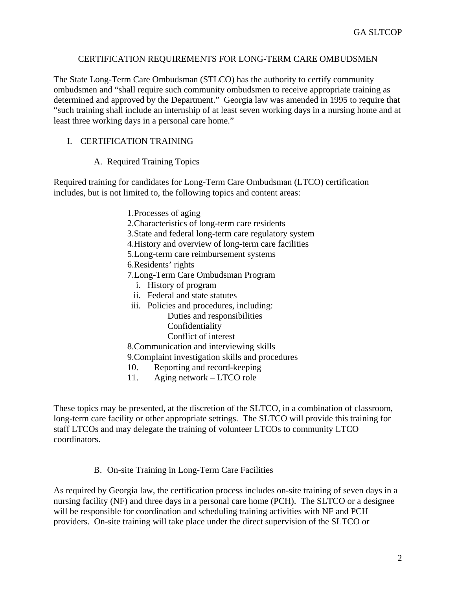### CERTIFICATION REQUIREMENTS FOR LONG-TERM CARE OMBUDSMEN

The State Long-Term Care Ombudsman (STLCO) has the authority to certify community ombudsmen and "shall require such community ombudsmen to receive appropriate training as determined and approved by the Department." Georgia law was amended in 1995 to require that "such training shall include an internship of at least seven working days in a nursing home and at least three working days in a personal care home."

# I. CERTIFICATION TRAINING

### A. Required Training Topics

Required training for candidates for Long-Term Care Ombudsman (LTCO) certification includes, but is not limited to, the following topics and content areas:

> 1.Processes of aging 2.Characteristics of long-term care residents 3.State and federal long-term care regulatory system 4.History and overview of long-term care facilities 5.Long-term care reimbursement systems 6.Residents' rights 7.Long-Term Care Ombudsman Program i. History of program ii. Federal and state statutes iii. Policies and procedures, including: Duties and responsibilities Confidentiality Conflict of interest 8.Communication and interviewing skills 9.Complaint investigation skills and procedures 10. Reporting and record-keeping

11. Aging network – LTCO role

These topics may be presented, at the discretion of the SLTCO, in a combination of classroom, long-term care facility or other appropriate settings. The SLTCO will provide this training for staff LTCOs and may delegate the training of volunteer LTCOs to community LTCO coordinators.

#### B. On-site Training in Long-Term Care Facilities

As required by Georgia law, the certification process includes on-site training of seven days in a nursing facility (NF) and three days in a personal care home (PCH). The SLTCO or a designee will be responsible for coordination and scheduling training activities with NF and PCH providers. On-site training will take place under the direct supervision of the SLTCO or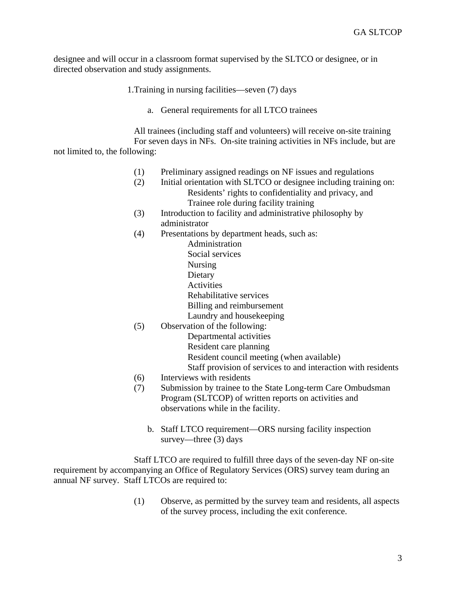designee and will occur in a classroom format supervised by the SLTCO or designee, or in directed observation and study assignments.

1.Training in nursing facilities—seven (7) days

a. General requirements for all LTCO trainees

 All trainees (including staff and volunteers) will receive on-site training For seven days in NFs. On-site training activities in NFs include, but are not limited to, the following:

- (1) Preliminary assigned readings on NF issues and regulations
- (2) Initial orientation with SLTCO or designee including training on: Residents' rights to confidentiality and privacy, and Trainee role during facility training
- (3) Introduction to facility and administrative philosophy by administrator
- (4) Presentations by department heads, such as:
- Administration Social services Nursing Dietary **Activities**  Rehabilitative services Billing and reimbursement Laundry and housekeeping (5) Observation of the following:
	- Departmental activities Resident care planning Resident council meeting (when available) Staff provision of services to and interaction with residents
- (6) Interviews with residents
- (7) Submission by trainee to the State Long-term Care Ombudsman Program (SLTCOP) of written reports on activities and observations while in the facility.
	- b. Staff LTCO requirement—ORS nursing facility inspection survey—three (3) days

 Staff LTCO are required to fulfill three days of the seven-day NF on-site requirement by accompanying an Office of Regulatory Services (ORS) survey team during an annual NF survey. Staff LTCOs are required to:

> (1) Observe, as permitted by the survey team and residents, all aspects of the survey process, including the exit conference.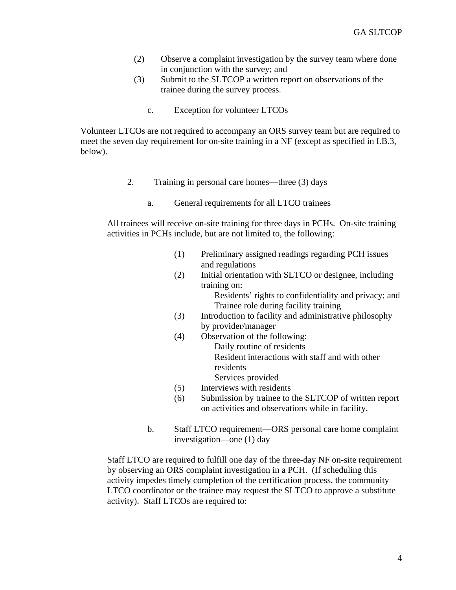- (2) Observe a complaint investigation by the survey team where done in conjunction with the survey; and
- (3) Submit to the SLTCOP a written report on observations of the trainee during the survey process.
	- c. Exception for volunteer LTCOs

Volunteer LTCOs are not required to accompany an ORS survey team but are required to meet the seven day requirement for on-site training in a NF (except as specified in I.B.3, below).

- 2. Training in personal care homes—three (3) days
	- a. General requirements for all LTCO trainees

All trainees will receive on-site training for three days in PCHs. On-site training activities in PCHs include, but are not limited to, the following:

- (1) Preliminary assigned readings regarding PCH issues and regulations
- (2) Initial orientation with SLTCO or designee, including training on: Residents' rights to confidentiality and privacy; and

Trainee role during facility training

- (3) Introduction to facility and administrative philosophy by provider/manager
- (4) Observation of the following: Daily routine of residents

Resident interactions with staff and with other residents

- Services provided
- (5) Interviews with residents
- (6) Submission by trainee to the SLTCOP of written report on activities and observations while in facility.
- b. Staff LTCO requirement—ORS personal care home complaint investigation—one (1) day

Staff LTCO are required to fulfill one day of the three-day NF on-site requirement by observing an ORS complaint investigation in a PCH. (If scheduling this activity impedes timely completion of the certification process, the community LTCO coordinator or the trainee may request the SLTCO to approve a substitute activity). Staff LTCOs are required to: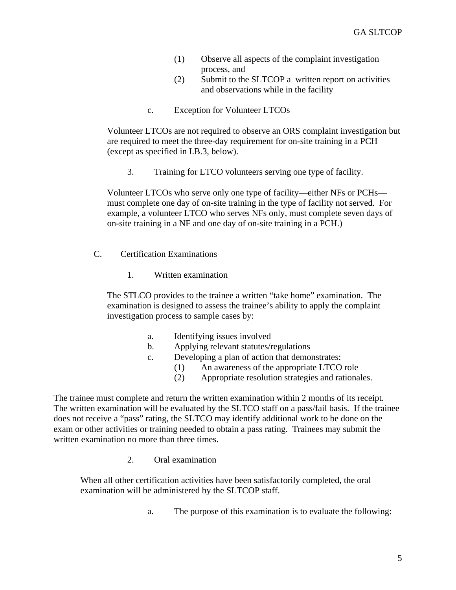- (1) Observe all aspects of the complaint investigation process, and
- (2) Submit to the SLTCOP a written report on activities and observations while in the facility
- c. Exception for Volunteer LTCOs

Volunteer LTCOs are not required to observe an ORS complaint investigation but are required to meet the three-day requirement for on-site training in a PCH (except as specified in I.B.3, below).

3. Training for LTCO volunteers serving one type of facility.

Volunteer LTCOs who serve only one type of facility—either NFs or PCHs must complete one day of on-site training in the type of facility not served. For example, a volunteer LTCO who serves NFs only, must complete seven days of on-site training in a NF and one day of on-site training in a PCH.)

- C. Certification Examinations
	- 1. Written examination

The STLCO provides to the trainee a written "take home" examination. The examination is designed to assess the trainee's ability to apply the complaint investigation process to sample cases by:

- a. Identifying issues involved
- b. Applying relevant statutes/regulations
- c. Developing a plan of action that demonstrates:
	- (1) An awareness of the appropriate LTCO role
	- (2) Appropriate resolution strategies and rationales.

The trainee must complete and return the written examination within 2 months of its receipt. The written examination will be evaluated by the SLTCO staff on a pass/fail basis. If the trainee does not receive a "pass" rating, the SLTCO may identify additional work to be done on the exam or other activities or training needed to obtain a pass rating. Trainees may submit the written examination no more than three times.

2. Oral examination

When all other certification activities have been satisfactorily completed, the oral examination will be administered by the SLTCOP staff.

a. The purpose of this examination is to evaluate the following: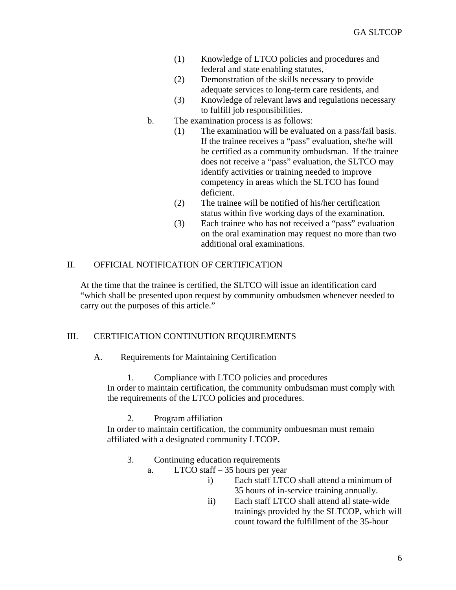- (1) Knowledge of LTCO policies and procedures and federal and state enabling statutes,
- (2) Demonstration of the skills necessary to provide adequate services to long-term care residents, and
- (3) Knowledge of relevant laws and regulations necessary to fulfill job responsibilities.
- b. The examination process is as follows:
	- (1) The examination will be evaluated on a pass/fail basis. If the trainee receives a "pass" evaluation, she/he will be certified as a community ombudsman. If the trainee does not receive a "pass" evaluation, the SLTCO may identify activities or training needed to improve competency in areas which the SLTCO has found deficient.
	- (2) The trainee will be notified of his/her certification status within five working days of the examination.
	- (3) Each trainee who has not received a "pass" evaluation on the oral examination may request no more than two additional oral examinations.

# II. OFFICIAL NOTIFICATION OF CERTIFICATION

At the time that the trainee is certified, the SLTCO will issue an identification card "which shall be presented upon request by community ombudsmen whenever needed to carry out the purposes of this article."

# III. CERTIFICATION CONTINUTION REQUIREMENTS

A. Requirements for Maintaining Certification

# 1. Compliance with LTCO policies and procedures In order to maintain certification, the community ombudsman must comply with the requirements of the LTCO policies and procedures.

2. Program affiliation

In order to maintain certification, the community ombuesman must remain affiliated with a designated community LTCOP.

# 3. Continuing education requirements

- a. LTCO staff 35 hours per year
	- i) Each staff LTCO shall attend a minimum of 35 hours of in-service training annually.
	- ii) Each staff LTCO shall attend all state-wide trainings provided by the SLTCOP, which will count toward the fulfillment of the 35-hour